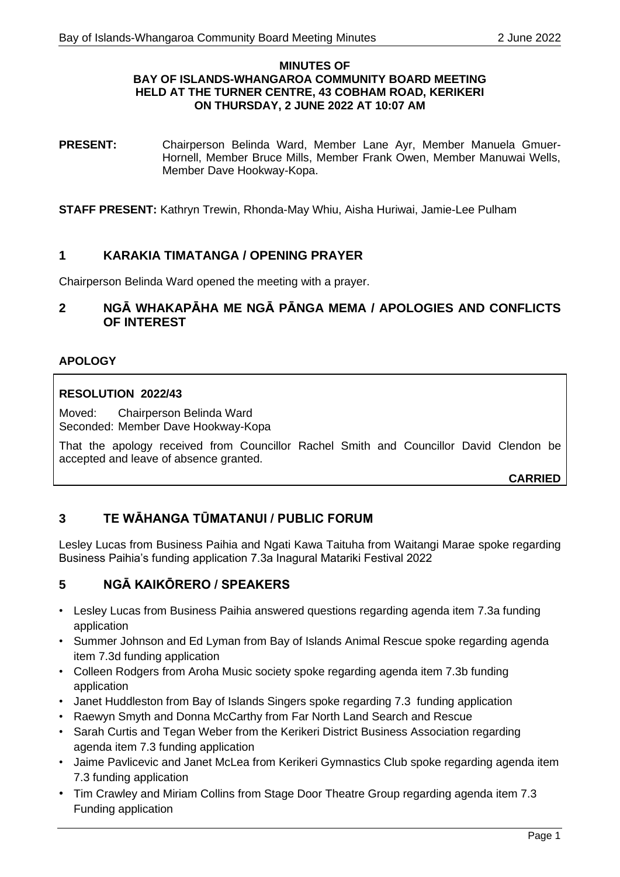#### **MINUTES OF BAY OF ISLANDS-WHANGAROA COMMUNITY BOARD MEETING HELD AT THE TURNER CENTRE, 43 COBHAM ROAD, KERIKERI ON THURSDAY, 2 JUNE 2022 AT 10:07 AM**

**PRESENT:** Chairperson Belinda Ward, Member Lane Ayr, Member Manuela Gmuer-Hornell, Member Bruce Mills, Member Frank Owen, Member Manuwai Wells, Member Dave Hookway-Kopa.

**STAFF PRESENT:** Kathryn Trewin, Rhonda-May Whiu, Aisha Huriwai, Jamie-Lee Pulham

## **1 KARAKIA TIMATANGA / OPENING PRAYER**

Chairperson Belinda Ward opened the meeting with a prayer.

## **2 NGĀ WHAKAPĀHA ME NGĀ PĀNGA MEMA / APOLOGIES AND CONFLICTS OF INTEREST**

#### **APOLOGY**

#### **RESOLUTION 2022/43**

Moved: Chairperson Belinda Ward Seconded: Member Dave Hookway-Kopa

That the apology received from Councillor Rachel Smith and Councillor David Clendon be accepted and leave of absence granted.

**CARRIED**

## **3 TE WĀHANGA TŪMATANUI / PUBLIC FORUM**

Lesley Lucas from Business Paihia and Ngati Kawa Taituha from Waitangi Marae spoke regarding Business Paihia's funding application 7.3a Inagural Matariki Festival 2022

## **5 NGĀ KAIKŌRERO / SPEAKERS**

- Lesley Lucas from Business Paihia answered questions regarding agenda item 7.3a funding application
- Summer Johnson and Ed Lyman from Bay of Islands Animal Rescue spoke regarding agenda item 7.3d funding application
- Colleen Rodgers from Aroha Music society spoke regarding agenda item 7.3b funding application
- Janet Huddleston from Bay of Islands Singers spoke regarding 7.3 funding application
- Raewyn Smyth and Donna McCarthy from Far North Land Search and Rescue
- Sarah Curtis and Tegan Weber from the Kerikeri District Business Association regarding agenda item 7.3 funding application
- Jaime Pavlicevic and Janet McLea from Kerikeri Gymnastics Club spoke regarding agenda item 7.3 funding application
- Tim Crawley and Miriam Collins from Stage Door Theatre Group regarding agenda item 7.3 Funding application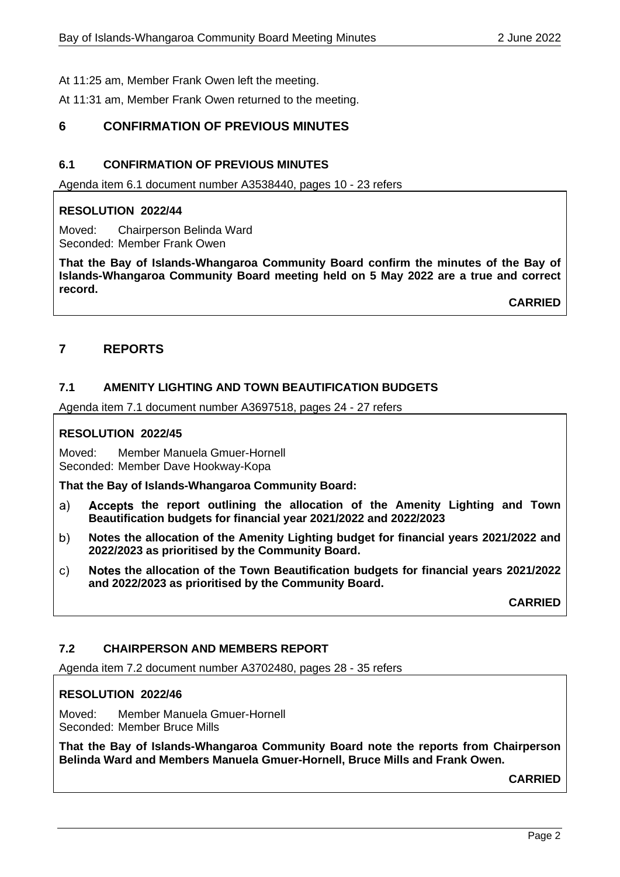At 11:25 am, Member Frank Owen left the meeting.

At 11:31 am, Member Frank Owen returned to the meeting.

## **6 CONFIRMATION OF PREVIOUS MINUTES**

#### **6.1 CONFIRMATION OF PREVIOUS MINUTES**

Agenda item 6.1 document number A3538440, pages 10 - 23 refers

#### **RESOLUTION 2022/44**

Moved: Chairperson Belinda Ward Seconded: Member Frank Owen

**That the Bay of Islands-Whangaroa Community Board confirm the minutes of the Bay of Islands-Whangaroa Community Board meeting held on 5 May 2022 are a true and correct record.**

**CARRIED**

## **7 REPORTS**

#### **7.1 AMENITY LIGHTING AND TOWN BEAUTIFICATION BUDGETS**

Agenda item 7.1 document number A3697518, pages 24 - 27 refers

#### **RESOLUTION 2022/45**

Moved: Member Manuela Gmuer-Hornell Seconded: Member Dave Hookway-Kopa

**That the Bay of Islands-Whangaroa Community Board:**

- $a)$ **the report outlining the allocation of the Amenity Lighting and Town Beautification budgets for financial year 2021/2022 and 2022/2023**
- **Notes the allocation of the Amenity Lighting budget for financial years 2021/2022 and**  b) **2022/2023 as prioritised by the Community Board.**
- **the allocation of the Town Beautification budgets for financial years 2021/2022**   $\mathsf{C}$ ) **and 2022/2023 as prioritised by the Community Board.**

**CARRIED**

#### **7.2 CHAIRPERSON AND MEMBERS REPORT**

Agenda item 7.2 document number A3702480, pages 28 - 35 refers

#### **RESOLUTION 2022/46**

Moved: Member Manuela Gmuer-Hornell Seconded: Member Bruce Mills

**That the Bay of Islands-Whangaroa Community Board note the reports from Chairperson Belinda Ward and Members Manuela Gmuer-Hornell, Bruce Mills and Frank Owen.**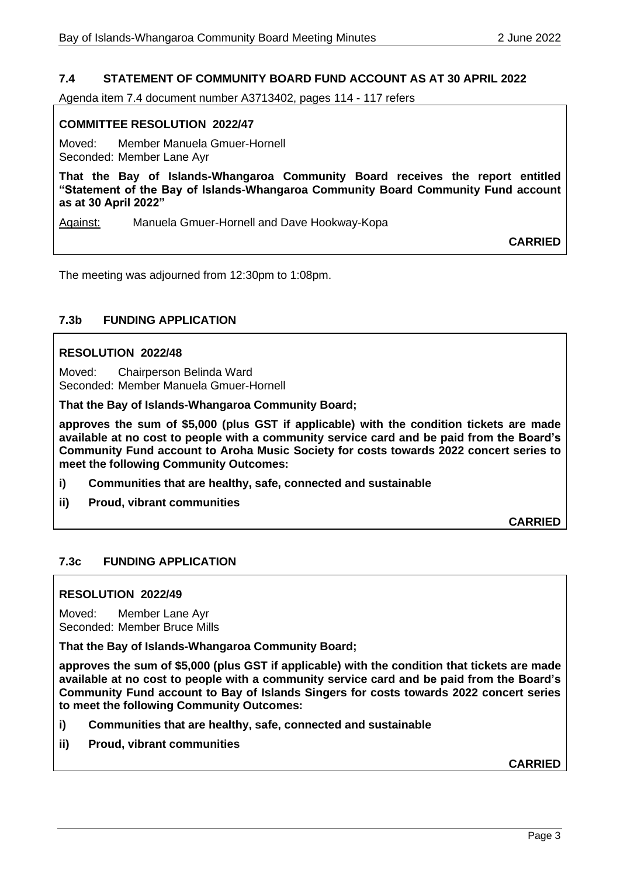## **7.4 STATEMENT OF COMMUNITY BOARD FUND ACCOUNT AS AT 30 APRIL 2022**

Agenda item 7.4 document number A3713402, pages 114 - 117 refers

#### **COMMITTEE RESOLUTION 2022/47**

Moved: Member Manuela Gmuer-Hornell Seconded: Member Lane Ayr

**That the Bay of Islands-Whangaroa Community Board receives the report entitled "Statement of the Bay of Islands-Whangaroa Community Board Community Fund account as at 30 April 2022"**

Against: Manuela Gmuer-Hornell and Dave Hookway-Kopa

**CARRIED**

The meeting was adjourned from 12:30pm to 1:08pm.

#### **7.3b FUNDING APPLICATION**

#### **RESOLUTION 2022/48**

Moved: Chairperson Belinda Ward Seconded: Member Manuela Gmuer-Hornell

**That the Bay of Islands-Whangaroa Community Board;**

**approves the sum of \$5,000 (plus GST if applicable) with the condition tickets are made available at no cost to people with a community service card and be paid from the Board's Community Fund account to Aroha Music Society for costs towards 2022 concert series to meet the following Community Outcomes:**

- **i) Communities that are healthy, safe, connected and sustainable**
- **ii) Proud, vibrant communities**

**CARRIED**

#### **7.3c FUNDING APPLICATION**

#### **RESOLUTION 2022/49**

Moved: Member Lane Ayr Seconded: Member Bruce Mills

**That the Bay of Islands-Whangaroa Community Board;**

**approves the sum of \$5,000 (plus GST if applicable) with the condition that tickets are made available at no cost to people with a community service card and be paid from the Board's Community Fund account to Bay of Islands Singers for costs towards 2022 concert series to meet the following Community Outcomes:**

- **i) Communities that are healthy, safe, connected and sustainable**
- **ii) Proud, vibrant communities**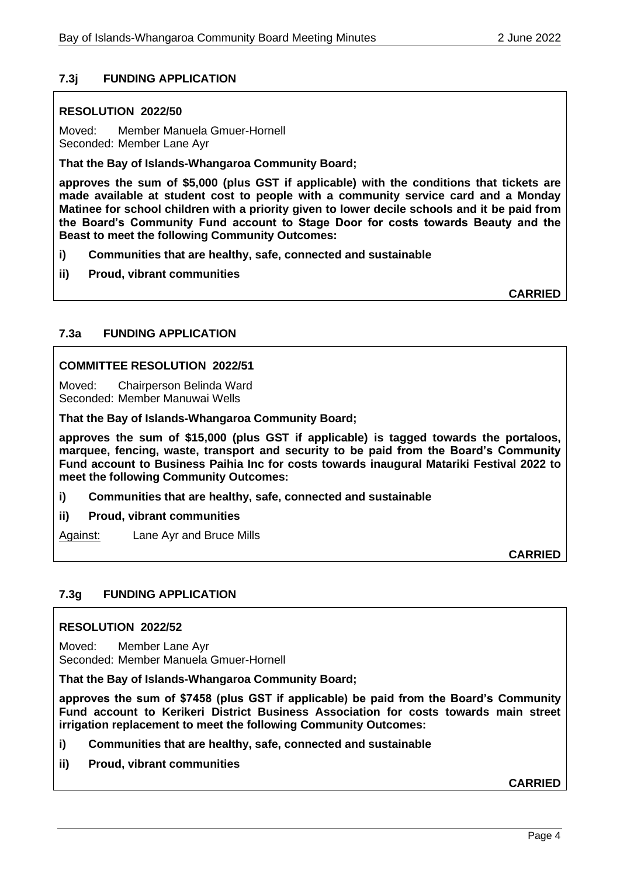## **7.3j FUNDING APPLICATION**

## **RESOLUTION 2022/50**

Moved: Member Manuela Gmuer-Hornell Seconded: Member Lane Ayr

**That the Bay of Islands-Whangaroa Community Board;**

**approves the sum of \$5,000 (plus GST if applicable) with the conditions that tickets are made available at student cost to people with a community service card and a Monday Matinee for school children with a priority given to lower decile schools and it be paid from the Board's Community Fund account to Stage Door for costs towards Beauty and the Beast to meet the following Community Outcomes:**

- **i) Communities that are healthy, safe, connected and sustainable**
- **ii) Proud, vibrant communities**

**CARRIED**

## **7.3a FUNDING APPLICATION**

#### **COMMITTEE RESOLUTION 2022/51**

Moved: Chairperson Belinda Ward Seconded: Member Manuwai Wells

**That the Bay of Islands-Whangaroa Community Board;**

**approves the sum of \$15,000 (plus GST if applicable) is tagged towards the portaloos, marquee, fencing, waste, transport and security to be paid from the Board's Community Fund account to Business Paihia Inc for costs towards inaugural Matariki Festival 2022 to meet the following Community Outcomes:**

- **i) Communities that are healthy, safe, connected and sustainable**
- **ii) Proud, vibrant communities**

Against: Lane Ayr and Bruce Mills

**CARRIED**

## **7.3g FUNDING APPLICATION**

#### **RESOLUTION 2022/52**

Moved: Member Lane Ayr Seconded: Member Manuela Gmuer-Hornell

**That the Bay of Islands-Whangaroa Community Board;**

**approves the sum of \$7458 (plus GST if applicable) be paid from the Board's Community Fund account to Kerikeri District Business Association for costs towards main street irrigation replacement to meet the following Community Outcomes:**

- **i) Communities that are healthy, safe, connected and sustainable**
- **ii) Proud, vibrant communities**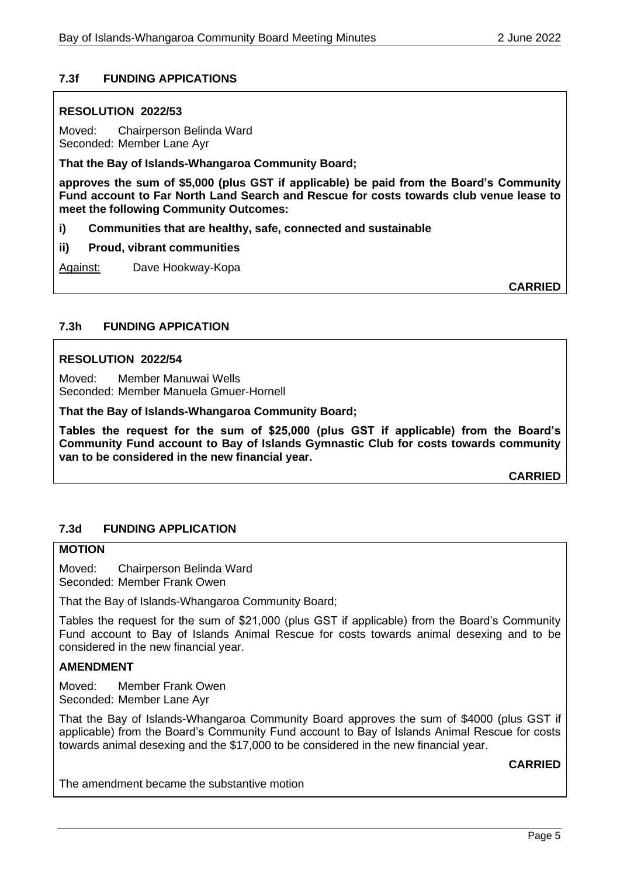## **7.3f FUNDING APPICATIONS**

#### **RESOLUTION 2022/53**

Moved: Chairperson Belinda Ward Seconded: Member Lane Ayr

**That the Bay of Islands-Whangaroa Community Board;**

**approves the sum of \$5,000 (plus GST if applicable) be paid from the Board's Community Fund account to Far North Land Search and Rescue for costs towards club venue lease to meet the following Community Outcomes:**

**i) Communities that are healthy, safe, connected and sustainable**

**ii) Proud, vibrant communities**

Against: Dave Hookway-Kopa

**CARRIED**

#### **7.3h FUNDING APPICATION**

#### **RESOLUTION 2022/54**

Moved: Member Manuwai Wells Seconded: Member Manuela Gmuer-Hornell

#### **That the Bay of Islands-Whangaroa Community Board;**

**Tables the request for the sum of \$25,000 (plus GST if applicable) from the Board's Community Fund account to Bay of Islands Gymnastic Club for costs towards community van to be considered in the new financial year.**

**CARRIED**

#### **7.3d FUNDING APPLICATION**

#### **MOTION**

Moved: Chairperson Belinda Ward Seconded: Member Frank Owen

That the Bay of Islands-Whangaroa Community Board;

Tables the request for the sum of \$21,000 (plus GST if applicable) from the Board's Community Fund account to Bay of Islands Animal Rescue for costs towards animal desexing and to be considered in the new financial year.

#### **AMENDMENT**

Moved: Member Frank Owen Seconded: Member Lane Ayr

That the Bay of Islands-Whangaroa Community Board approves the sum of \$4000 (plus GST if applicable) from the Board's Community Fund account to Bay of Islands Animal Rescue for costs towards animal desexing and the \$17,000 to be considered in the new financial year.

**CARRIED**

The amendment became the substantive motion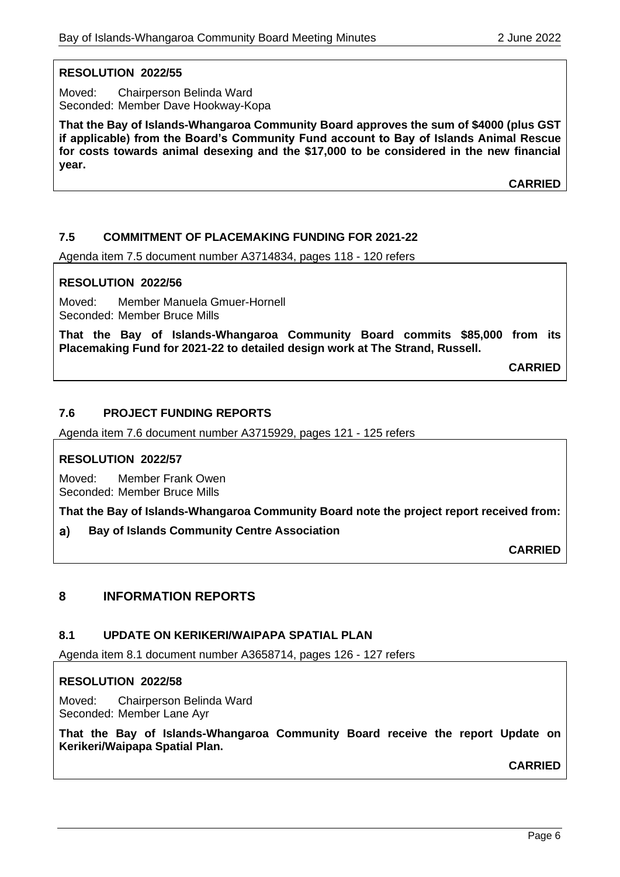## **RESOLUTION 2022/55**

Moved: Chairperson Belinda Ward Seconded: Member Dave Hookway-Kopa

**That the Bay of Islands-Whangaroa Community Board approves the sum of \$4000 (plus GST if applicable) from the Board's Community Fund account to Bay of Islands Animal Rescue for costs towards animal desexing and the \$17,000 to be considered in the new financial year.**

**CARRIED**

## **7.5 COMMITMENT OF PLACEMAKING FUNDING FOR 2021-22**

Agenda item 7.5 document number A3714834, pages 118 - 120 refers

#### **RESOLUTION 2022/56**

Moved: Member Manuela Gmuer-Hornell Seconded: Member Bruce Mills

**That the Bay of Islands-Whangaroa Community Board commits \$85,000 from its Placemaking Fund for 2021-22 to detailed design work at The Strand, Russell.**

**CARRIED**

#### **7.6 PROJECT FUNDING REPORTS**

Agenda item 7.6 document number A3715929, pages 121 - 125 refers

#### **RESOLUTION 2022/57**

Moved: Member Frank Owen Seconded: Member Bruce Mills

**That the Bay of Islands-Whangaroa Community Board note the project report received from:**

**Bay of Islands Community Centre Association**  $a)$ 

**CARRIED**

## **8 INFORMATION REPORTS**

#### **8.1 UPDATE ON KERIKERI/WAIPAPA SPATIAL PLAN**

Agenda item 8.1 document number A3658714, pages 126 - 127 refers

#### **RESOLUTION 2022/58**

Moved: Chairperson Belinda Ward Seconded: Member Lane Ayr

**That the Bay of Islands-Whangaroa Community Board receive the report Update on Kerikeri/Waipapa Spatial Plan.**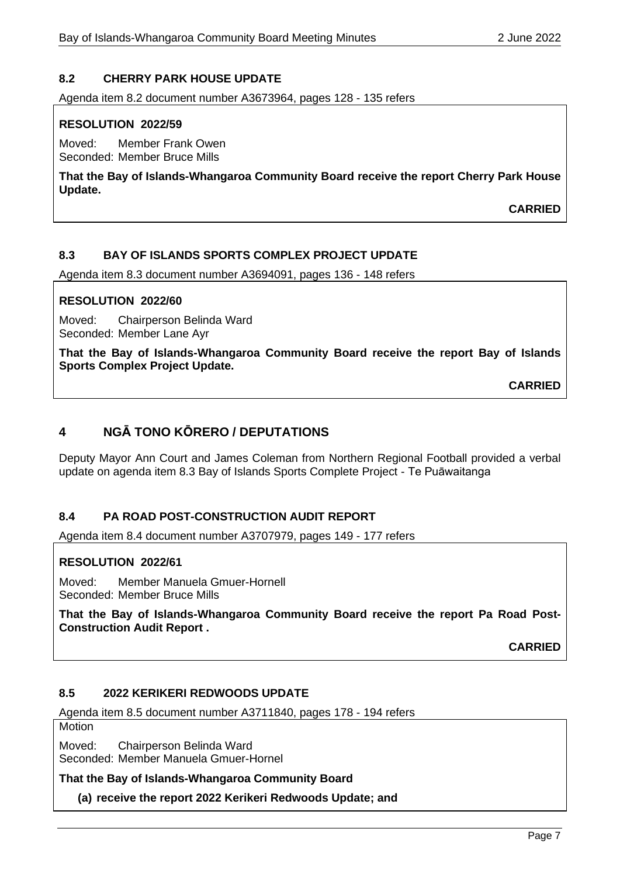## **8.2 CHERRY PARK HOUSE UPDATE**

Agenda item 8.2 document number A3673964, pages 128 - 135 refers

#### **RESOLUTION 2022/59**

Moved: Member Frank Owen Seconded: Member Bruce Mills

**That the Bay of Islands-Whangaroa Community Board receive the report Cherry Park House Update.**

**CARRIED**

#### **8.3 BAY OF ISLANDS SPORTS COMPLEX PROJECT UPDATE**

Agenda item 8.3 document number A3694091, pages 136 - 148 refers

#### **RESOLUTION 2022/60**

Moved: Chairperson Belinda Ward Seconded: Member Lane Ayr

**That the Bay of Islands-Whangaroa Community Board receive the report Bay of Islands Sports Complex Project Update.**

**CARRIED**

## **4 NGĀ TONO KŌRERO / DEPUTATIONS**

Deputy Mayor Ann Court and James Coleman from Northern Regional Football provided a verbal update on agenda item 8.3 Bay of Islands Sports Complete Project - Te Puāwaitanga

#### **8.4 PA ROAD POST-CONSTRUCTION AUDIT REPORT**

Agenda item 8.4 document number A3707979, pages 149 - 177 refers

#### **RESOLUTION 2022/61**

Moved: Member Manuela Gmuer-Hornell Seconded: Member Bruce Mills

**That the Bay of Islands-Whangaroa Community Board receive the report Pa Road Post-Construction Audit Report .**

**CARRIED**

## **8.5 2022 KERIKERI REDWOODS UPDATE**

Agenda item 8.5 document number A3711840, pages 178 - 194 refers

**Motion** 

Moved: Chairperson Belinda Ward Seconded: Member Manuela Gmuer-Hornel

**That the Bay of Islands-Whangaroa Community Board** 

**(a) receive the report 2022 Kerikeri Redwoods Update; and**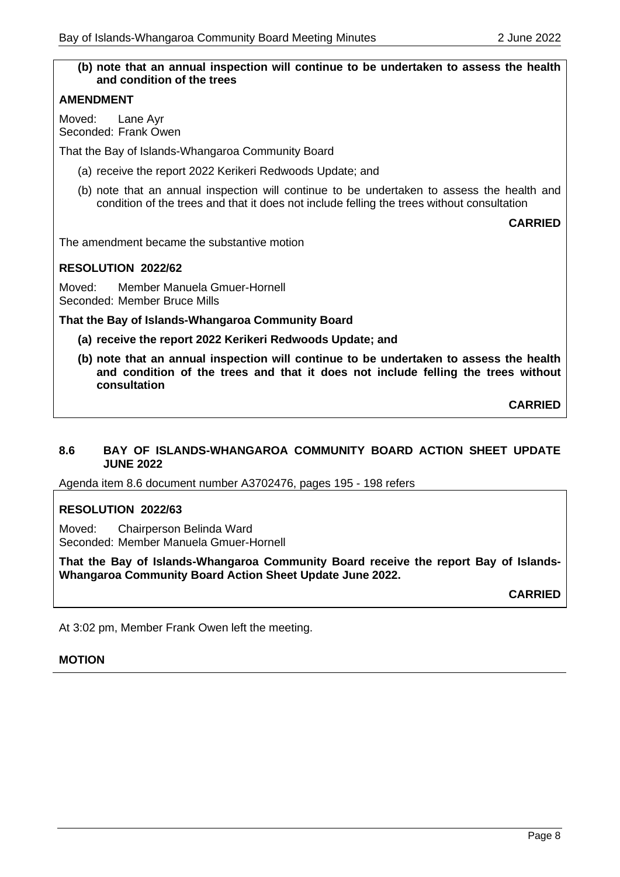# **(b) note that an annual inspection will continue to be undertaken to assess the health and condition of the trees AMENDMENT** Moved: Lane Ayr Seconded: Frank Owen That the Bay of Islands-Whangaroa Community Board (a) receive the report 2022 Kerikeri Redwoods Update; and (b) note that an annual inspection will continue to be undertaken to assess the health and condition of the trees and that it does not include felling the trees without consultation **CARRIED** The amendment became the substantive motion **RESOLUTION 2022/62** Moved: Member Manuela Gmuer-Hornell Seconded: Member Bruce Mills **That the Bay of Islands-Whangaroa Community Board (a) receive the report 2022 Kerikeri Redwoods Update; and (b) note that an annual inspection will continue to be undertaken to assess the health and condition of the trees and that it does not include felling the trees without consultation**

**CARRIED**

#### **8.6 BAY OF ISLANDS-WHANGAROA COMMUNITY BOARD ACTION SHEET UPDATE JUNE 2022**

Agenda item 8.6 document number A3702476, pages 195 - 198 refers

#### **RESOLUTION 2022/63**

Moved: Chairperson Belinda Ward Seconded: Member Manuela Gmuer-Hornell

**That the Bay of Islands-Whangaroa Community Board receive the report Bay of Islands-Whangaroa Community Board Action Sheet Update June 2022.**

**CARRIED**

At 3:02 pm, Member Frank Owen left the meeting.

#### **MOTION**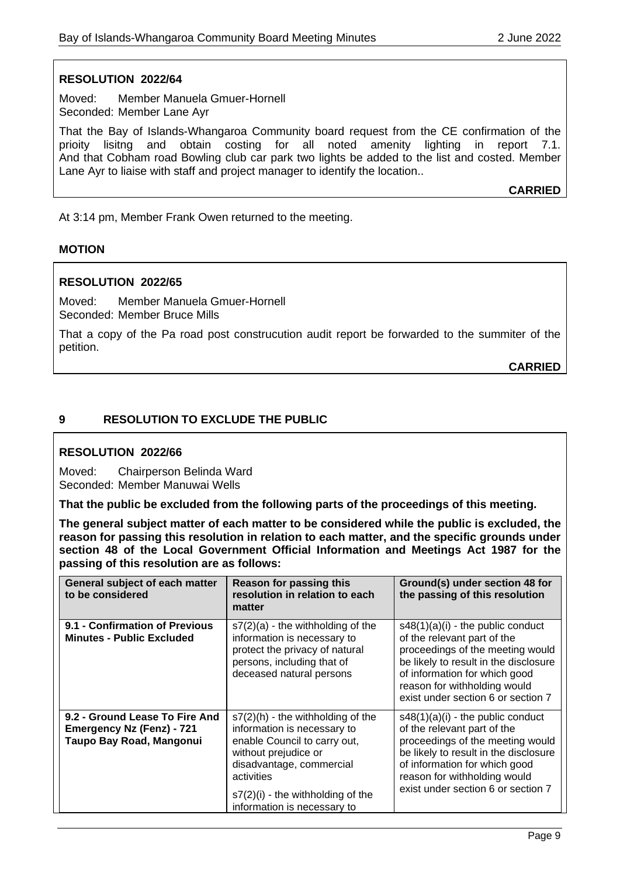#### **RESOLUTION 2022/64**

Moved: Member Manuela Gmuer-Hornell Seconded: Member Lane Ayr

That the Bay of Islands-Whangaroa Community board request from the CE confirmation of the prioity lisitng and obtain costing for all noted amenity lighting in report 7.1. And that Cobham road Bowling club car park two lights be added to the list and costed. Member Lane Ayr to liaise with staff and project manager to identify the location..

**CARRIED**

At 3:14 pm, Member Frank Owen returned to the meeting.

#### **MOTION**

#### **RESOLUTION 2022/65**

Moved: Member Manuela Gmuer-Hornell Seconded: Member Bruce Mills

That a copy of the Pa road post construcution audit report be forwarded to the summiter of the petition.

**CARRIED**

#### **9 RESOLUTION TO EXCLUDE THE PUBLIC**

#### **RESOLUTION 2022/66**

Moved: Chairperson Belinda Ward Seconded: Member Manuwai Wells

**That the public be excluded from the following parts of the proceedings of this meeting.**

**The general subject matter of each matter to be considered while the public is excluded, the reason for passing this resolution in relation to each matter, and the specific grounds under section 48 of the Local Government Official Information and Meetings Act 1987 for the passing of this resolution are as follows:**

| General subject of each matter<br>to be considered                                             | <b>Reason for passing this</b><br>resolution in relation to each<br>matter                                                                                                                                                                  | Ground(s) under section 48 for<br>the passing of this resolution                                                                                                                                                                                       |
|------------------------------------------------------------------------------------------------|---------------------------------------------------------------------------------------------------------------------------------------------------------------------------------------------------------------------------------------------|--------------------------------------------------------------------------------------------------------------------------------------------------------------------------------------------------------------------------------------------------------|
| 9.1 - Confirmation of Previous<br><b>Minutes - Public Excluded</b>                             | $s7(2)(a)$ - the withholding of the<br>information is necessary to<br>protect the privacy of natural<br>persons, including that of<br>deceased natural persons                                                                              | $s48(1)(a)(i)$ - the public conduct<br>of the relevant part of the<br>proceedings of the meeting would<br>be likely to result in the disclosure<br>of information for which good<br>reason for withholding would<br>exist under section 6 or section 7 |
| 9.2 - Ground Lease To Fire And<br><b>Emergency Nz (Fenz) - 721</b><br>Taupo Bay Road, Mangonui | $s7(2)$ (h) - the withholding of the<br>information is necessary to<br>enable Council to carry out,<br>without prejudice or<br>disadvantage, commercial<br>activities<br>$s7(2)(i)$ - the withholding of the<br>information is necessary to | $s48(1)(a)(i)$ - the public conduct<br>of the relevant part of the<br>proceedings of the meeting would<br>be likely to result in the disclosure<br>of information for which good<br>reason for withholding would<br>exist under section 6 or section 7 |